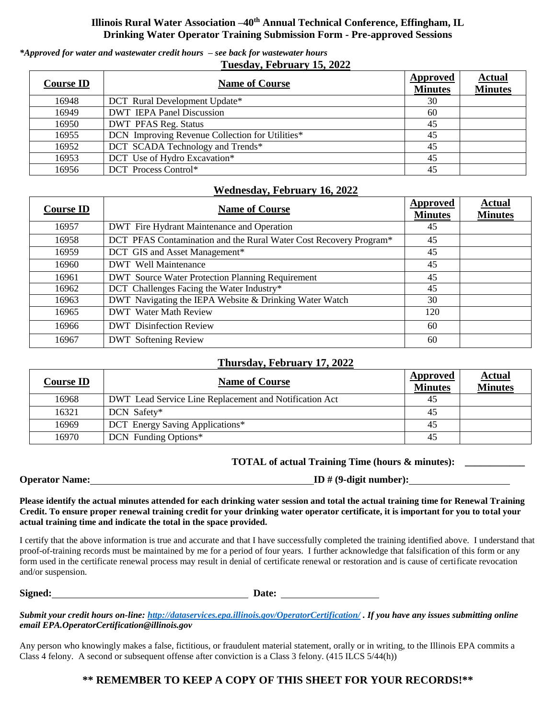## **Illinois Rural Water Association –40th Annual Technical Conference, Effingham, IL Drinking Water Operator Training Submission Form - Pre-approved Sessions**

#### *\*Approved for water and wastewater credit hours – see back for wastewater hours* **Tuesday, February 15, 2022**

| <b>Course ID</b> | <b>Name of Course</b>                           | <b>Approved</b><br><b>Minutes</b> | <b>Actual</b><br><b>Minutes</b> |
|------------------|-------------------------------------------------|-----------------------------------|---------------------------------|
| 16948            | DCT Rural Development Update*                   | 30                                |                                 |
| 16949            | <b>DWT</b> IEPA Panel Discussion                | 60                                |                                 |
| 16950            | <b>DWT PFAS Reg. Status</b>                     | 45                                |                                 |
| 16955            | DCN Improving Revenue Collection for Utilities* | 45                                |                                 |
| 16952            | DCT SCADA Technology and Trends*                | 45                                |                                 |
| 16953            | DCT Use of Hydro Excavation*                    | 45                                |                                 |
| 16956            | DCT Process Control*                            | 45                                |                                 |

### **Wednesday, February 16, 2022**

| <b>Course ID</b> | <b>Name of Course</b>                                             | <b>Approved</b><br><b>Minutes</b> | <b>Actual</b><br><b>Minutes</b> |
|------------------|-------------------------------------------------------------------|-----------------------------------|---------------------------------|
| 16957            | DWT Fire Hydrant Maintenance and Operation                        | 45                                |                                 |
| 16958            | DCT PFAS Contamination and the Rural Water Cost Recovery Program* | 45                                |                                 |
| 16959            | DCT GIS and Asset Management*                                     | 45                                |                                 |
| 16960            | <b>DWT</b> Well Maintenance                                       | 45                                |                                 |
| 16961            | <b>DWT</b> Source Water Protection Planning Requirement           | 45                                |                                 |
| 16962            | DCT Challenges Facing the Water Industry*                         | 45                                |                                 |
| 16963            | DWT Navigating the IEPA Website & Drinking Water Watch            | 30                                |                                 |
| 16965            | <b>DWT</b> Water Math Review                                      | 120                               |                                 |
| 16966            | <b>DWT</b> Disinfection Review                                    | 60                                |                                 |
| 16967            | <b>DWT</b> Softening Review                                       | 60                                |                                 |

## **Thursday, February 17, 2022**

| <b>Course ID</b> | <b>Name of Course</b>                                  | <b>Approved</b><br><b>Minutes</b> | <b>Actual</b><br><b>Minutes</b> |
|------------------|--------------------------------------------------------|-----------------------------------|---------------------------------|
| 16968            | DWT Lead Service Line Replacement and Notification Act | 45                                |                                 |
| 16321            | DCN Safety*                                            | 45                                |                                 |
| 16969            | DCT Energy Saving Applications*                        | 45                                |                                 |
| 16970            | DCN Funding Options*                                   | 45                                |                                 |

## **TOTAL of actual Training Time (hours & minutes):**

**Operator Name: ID # (9-digit number):**

#### **Please identify the actual minutes attended for each drinking water session and total the actual training time for Renewal Training Credit. To ensure proper renewal training credit for your drinking water operator certificate, it is important for you to total your actual training time and indicate the total in the space provided.**

I certify that the above information is true and accurate and that I have successfully completed the training identified above. I understand that proof-of-training records must be maintained by me for a period of four years. I further acknowledge that falsification of this form or any form used in the certificate renewal process may result in denial of certificate renewal or restoration and is cause of certificate revocation and/or suspension.

**Signed: Date:**

#### *Submit your credit hours on-line: <http://dataservices.epa.illinois.gov/OperatorCertification/> . If you have any issues submitting online email [EPA.OperatorCertification@illinois.gov](mailto:EPA.OperatorCertification@illinois.gov)*

Any person who knowingly makes a false, fictitious, or fraudulent material statement, orally or in writing, to the Illinois EPA commits a Class 4 felony. A second or subsequent offense after conviction is a Class 3 felony. (415 ILCS 5/44(h))

# **\*\* REMEMBER TO KEEP A COPY OF THIS SHEET FOR YOUR RECORDS!\*\***